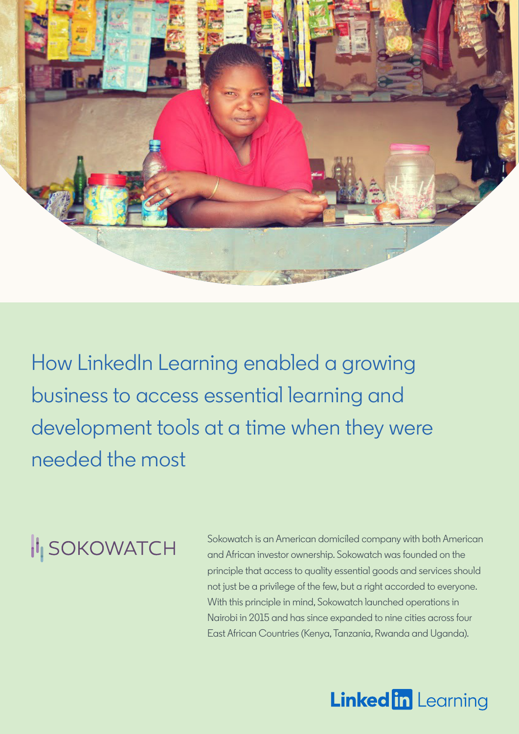

How LinkedIn Learning enabled a growing business to access essential learning and development tools at a time when they were needed the most

# **II** SOKOWATCH

Sokowatch is an American domiciled company with both American and African investor ownership. Sokowatch was founded on the principle that access to quality essential goods and services should not just be a privilege of the few, but a right accorded to everyone. With this principle in mind, Sokowatch launched operations in Nairobi in 2015 and has since expanded to nine cities across four East African Countries (Kenya, Tanzania, Rwanda and Uganda).

## **Linked in Learning**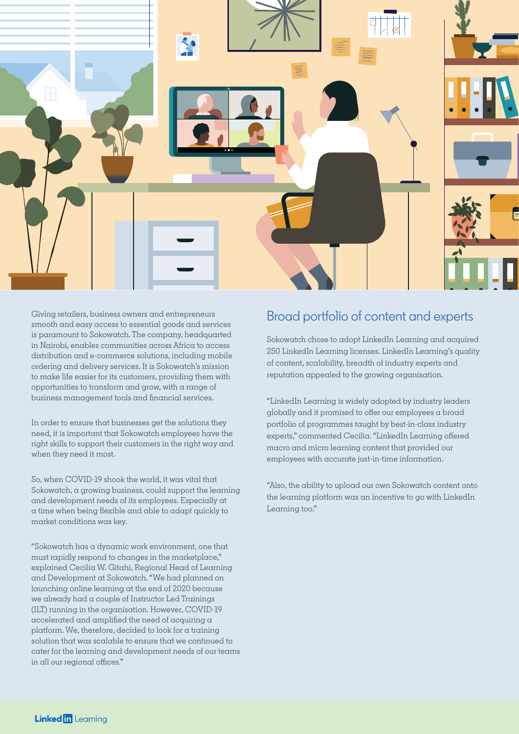

Giving retailers, business owners and entrepreneurs smooth and easy access to essential goods and services is paramount to Sokowatch. The company, headquarted in Nairobi, enables communities across Africa to access distribution and e-commerce solutions, including mobile ordering and delivery services. It is Sokowatch's mission to make life easier for its customers, providing them with opportunities to transform and grow, with a range of business management tools and financial services.

In order to ensure that businesses get the solutions they need, it is important that Sokowatch employees have the right skills to support their customers in the right way and when they need it most.

So, when COVID-19 shook the world, it was vital that Sokowatch, a growing business, could support the learning and development needs of its employees. Especially at a time when being flexible and able to adapt quickly to market conditions was key.

"Sokowatch has a dynamic work environment, one that must rapidly respond to changes in the marketplace," explained Cecilia W. Gitahi, Regional Head of Learning and Development at Sokowatch. "We had planned on launching online learning at the end of 2020 because we already had a couple of Instructor Led Trainings (ILT) running in the organisation. However, COVID-19 accelerated and amplified the need of acquiring a platform. We, therefore, decided to look for a training solution that was scalable to ensure that we continued to cater for the learning and development needs of our teams in all our regional offices."

#### Broad portfolio of content and experts

Sokowatch chose to adopt LinkedIn Learning and acquired 250 LinkedIn Learning licenses. LinkedIn Learning's quality of content, scalability, breadth of industry experts and reputation appealed to the growing organisation.

"LinkedIn Learning is widely adopted by industry leaders globally and it promised to offer our employees a broad portfolio of programmes taught by best-in-class industry experts," commented Cecilia. "LinkedIn Learning offered macro and micro learning content that provided our employees with accurate just-in-time information.

"Also, the ability to upload our own Sokowatch content onto the learning platform was an incentive to go with LinkedIn Learning too."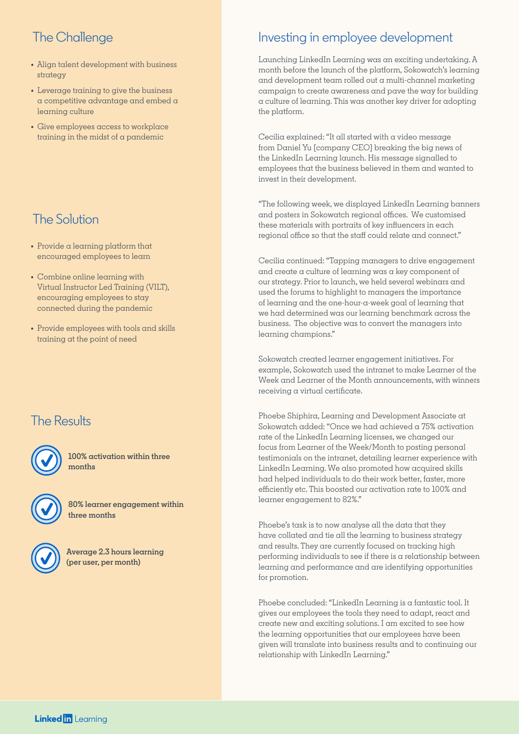### The Challenge

- **•** Align talent development with business strategy
- **•** Leverage training to give the business a competitive advantage and embed a learning culture
- **•** Give employees access to workplace training in the midst of a pandemic

#### The Solution

- **•** Provide a learning platform that encouraged employees to learn
- **•** Combine online learning with Virtual Instructor Led Training (VILT), encouraging employees to stay connected during the pandemic
- **•** Provide employees with tools and skills training at the point of need

#### The Results



**100% activation within three months**



**80% learner engagement within three months**



**Average 2.3 hours learning (per user, per month)**

#### Investing in employee development

Launching LinkedIn Learning was an exciting undertaking. A month before the launch of the platform, Sokowatch's learning and development team rolled out a multi-channel marketing campaign to create awareness and pave the way for building a culture of learning. This was another key driver for adopting the platform.

Cecilia explained: "It all started with a video message from Daniel Yu [company CEO] breaking the big news of the LinkedIn Learning launch. His message signalled to employees that the business believed in them and wanted to invest in their development.

"The following week, we displayed LinkedIn Learning banners and posters in Sokowatch regional offices. We customised these materials with portraits of key influencers in each regional office so that the staff could relate and connect."

Cecilia continued: "Tapping managers to drive engagement and create a culture of learning was a key component of our strategy. Prior to launch, we held several webinars and used the forums to highlight to managers the importance of learning and the one-hour-a-week goal of learning that we had determined was our learning benchmark across the business. The objective was to convert the managers into learning champions."

Sokowatch created learner engagement initiatives. For example, Sokowatch used the intranet to make Learner of the Week and Learner of the Month announcements, with winners receiving a virtual certificate.

Phoebe Shiphira, Learning and Development Associate at Sokowatch added: "Once we had achieved a 75% activation rate of the LinkedIn Learning licenses, we changed our focus from Learner of the Week/Month to posting personal testimonials on the intranet, detailing learner experience with LinkedIn Learning. We also promoted how acquired skills had helped individuals to do their work better, faster, more efficiently etc. This boosted our activation rate to 100% and learner engagement to 82%."

Phoebe's task is to now analyse all the data that they have collated and tie all the learning to business strategy and results. They are currently focused on tracking high performing individuals to see if there is a relationship between learning and performance and are identifying opportunities for promotion.

Phoebe concluded: "LinkedIn Learning is a fantastic tool. It gives our employees the tools they need to adapt, react and create new and exciting solutions. I am excited to see how the learning opportunities that our employees have been given will translate into business results and to continuing our relationship with LinkedIn Learning."